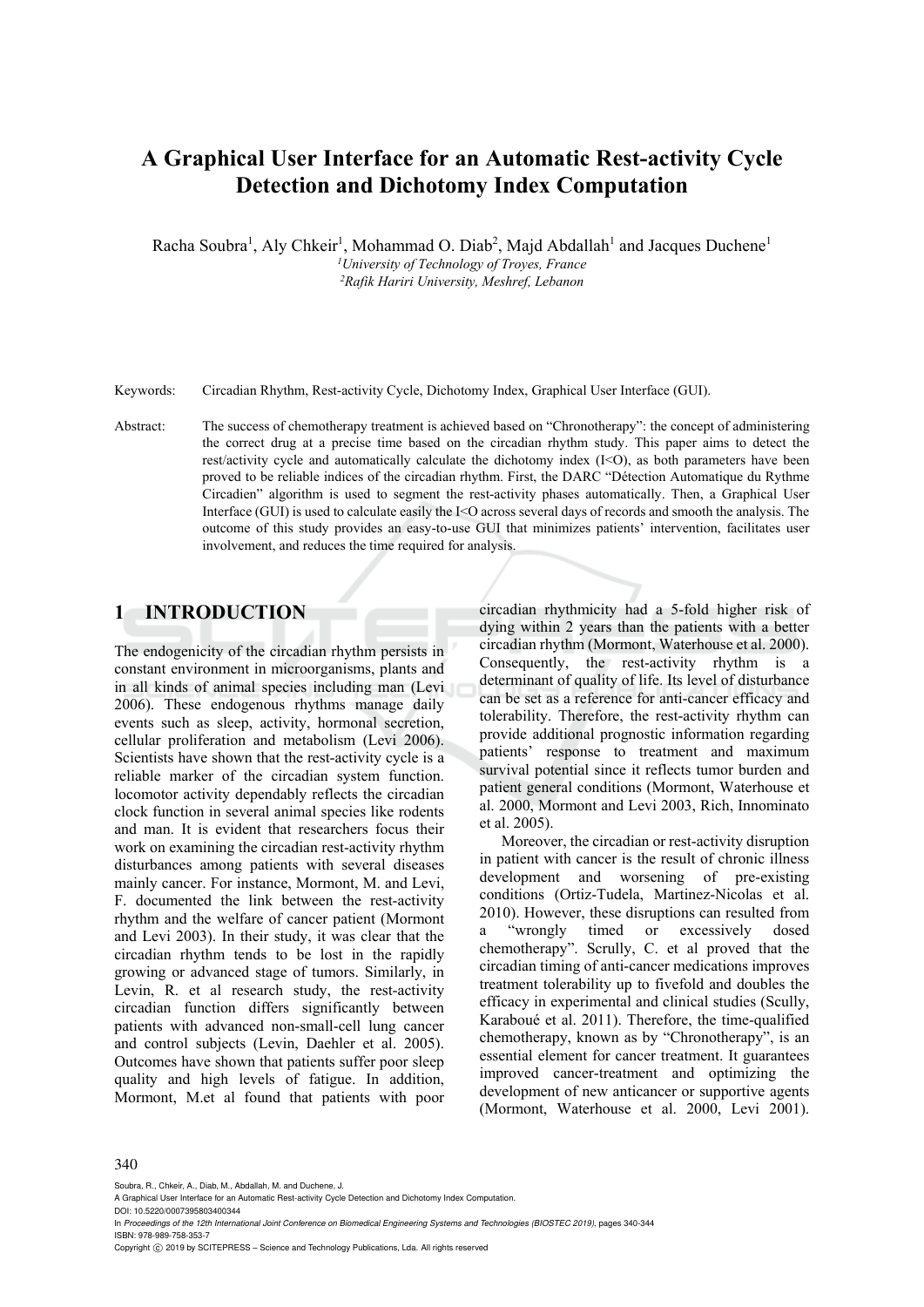# **A Graphical User Interface for an Automatic Rest-activity Cycle Detection and Dichotomy Index Computation**

Racha Soubra<sup>1</sup>, Aly Chkeir<sup>1</sup>, Mohammad O. Diab<sup>2</sup>, Majd Abdallah<sup>1</sup> and Jacques Duchene<sup>1</sup> *1University of Technology of Troyes, France 2Rafik Hariri University, Meshref, Lebanon* 

Keywords: Circadian Rhythm, Rest-activity Cycle, Dichotomy Index, Graphical User Interface (GUI).

Abstract: The success of chemotherapy treatment is achieved based on "Chronotherapy": the concept of administering the correct drug at a precise time based on the circadian rhythm study. This paper aims to detect the rest/activity cycle and automatically calculate the dichotomy index (I<O), as both parameters have been proved to be reliable indices of the circadian rhythm. First, the DARC "Détection Automatique du Rythme Circadien" algorithm is used to segment the rest-activity phases automatically. Then, a Graphical User Interface (GUI) is used to calculate easily the I<O across several days of records and smooth the analysis. The outcome of this study provides an easy-to-use GUI that minimizes patients' intervention, facilitates user involvement, and reduces the time required for analysis.

# **1 INTRODUCTION**

The endogenicity of the circadian rhythm persists in constant environment in microorganisms, plants and in all kinds of animal species including man (Levi 2006). These endogenous rhythms manage daily events such as sleep, activity, hormonal secretion, cellular proliferation and metabolism (Levi 2006). Scientists have shown that the rest-activity cycle is a reliable marker of the circadian system function. locomotor activity dependably reflects the circadian clock function in several animal species like rodents and man. It is evident that researchers focus their work on examining the circadian rest-activity rhythm disturbances among patients with several diseases mainly cancer. For instance, Mormont, M. and Levi, F. documented the link between the rest-activity rhythm and the welfare of cancer patient (Mormont and Levi 2003). In their study, it was clear that the circadian rhythm tends to be lost in the rapidly growing or advanced stage of tumors. Similarly, in Levin, R. et al research study, the rest-activity circadian function differs significantly between patients with advanced non-small-cell lung cancer and control subjects (Levin, Daehler et al. 2005). Outcomes have shown that patients suffer poor sleep quality and high levels of fatigue. In addition, Mormont, M.et al found that patients with poor

circadian rhythmicity had a 5-fold higher risk of dying within 2 years than the patients with a better circadian rhythm (Mormont, Waterhouse et al. 2000). Consequently, the rest-activity rhythm is a determinant of quality of life. Its level of disturbance can be set as a reference for anti-cancer efficacy and tolerability. Therefore, the rest-activity rhythm can provide additional prognostic information regarding patients' response to treatment and maximum survival potential since it reflects tumor burden and patient general conditions (Mormont, Waterhouse et al. 2000, Mormont and Levi 2003, Rich, Innominato et al. 2005).

Moreover, the circadian or rest-activity disruption in patient with cancer is the result of chronic illness development and worsening of pre-existing conditions (Ortiz-Tudela, Martinez-Nicolas et al. 2010). However, these disruptions can resulted from a "wrongly timed or excessively dosed chemotherapy". Scrully, C. et al proved that the circadian timing of anti-cancer medications improves treatment tolerability up to fivefold and doubles the efficacy in experimental and clinical studies (Scully, Karaboué et al. 2011). Therefore, the time-qualified chemotherapy, known as by "Chronotherapy", is an essential element for cancer treatment. It guarantees improved cancer-treatment and optimizing the development of new anticancer or supportive agents (Mormont, Waterhouse et al. 2000, Levi 2001).

#### 340

Soubra, R., Chkeir, A., Diab, M., Abdallah, M. and Duchene, J.

DOI: 10.5220/0007395803400344

In *Proceedings of the 12th International Joint Conference on Biomedical Engineering Systems and Technologies (BIOSTEC 2019)*, pages 340-344 ISBN: 978-989-758-353-7

Copyright  $\odot$  2019 by SCITEPRESS - Science and Technology Publications, Lda. All rights reserved

A Graphical User Interface for an Automatic Rest-activity Cycle Detection and Dichotomy Index Computation.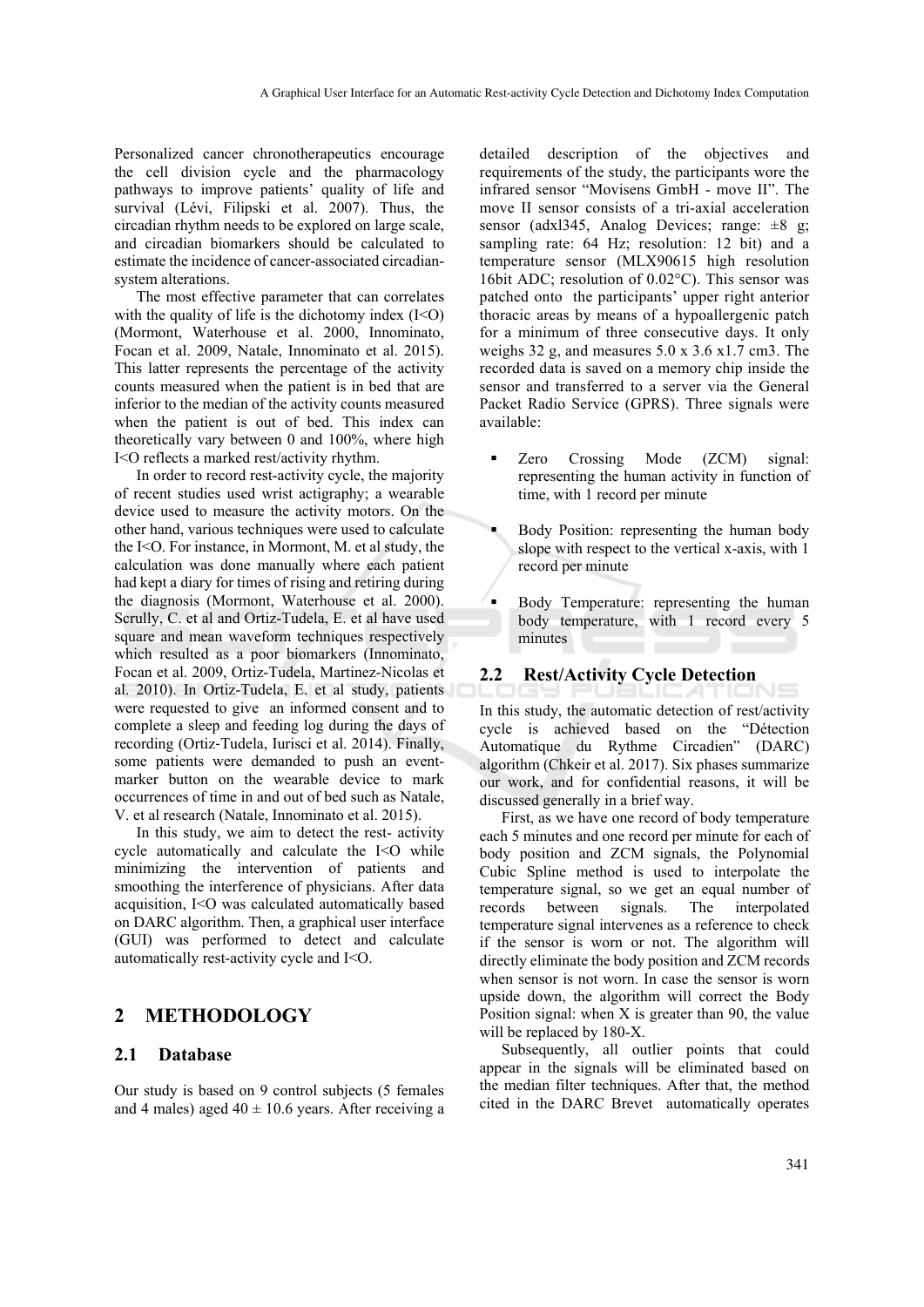Personalized cancer chronotherapeutics encourage the cell division cycle and the pharmacology pathways to improve patients' quality of life and survival (Lévi, Filipski et al. 2007). Thus, the circadian rhythm needs to be explored on large scale, and circadian biomarkers should be calculated to estimate the incidence of cancer-associated circadiansystem alterations.

The most effective parameter that can correlates with the quality of life is the dichotomy index  $(I<0)$ (Mormont, Waterhouse et al. 2000, Innominato, Focan et al. 2009, Natale, Innominato et al. 2015). This latter represents the percentage of the activity counts measured when the patient is in bed that are inferior to the median of the activity counts measured when the patient is out of bed. This index can theoretically vary between 0 and 100%, where high I<O reflects a marked rest/activity rhythm.

In order to record rest-activity cycle, the majority of recent studies used wrist actigraphy; a wearable device used to measure the activity motors. On the other hand, various techniques were used to calculate the I<O. For instance, in Mormont, M. et al study, the calculation was done manually where each patient had kept a diary for times of rising and retiring during the diagnosis (Mormont, Waterhouse et al. 2000). Scrully, C. et al and Ortiz-Tudela, E. et al have used square and mean waveform techniques respectively which resulted as a poor biomarkers (Innominato, Focan et al. 2009, Ortiz-Tudela, Martinez-Nicolas et al. 2010). In Ortiz-Tudela, E. et al study, patients were requested to give an informed consent and to complete a sleep and feeding log during the days of recording (Ortiz‐Tudela, Iurisci et al. 2014). Finally, some patients were demanded to push an eventmarker button on the wearable device to mark occurrences of time in and out of bed such as Natale, V. et al research (Natale, Innominato et al. 2015).

In this study, we aim to detect the rest- activity cycle automatically and calculate the I<O while minimizing the intervention of patients and smoothing the interference of physicians. After data acquisition, I<O was calculated automatically based on DARC algorithm. Then, a graphical user interface (GUI) was performed to detect and calculate automatically rest-activity cycle and I<O.

# **2 METHODOLOGY**

### **2.1 Database**

Our study is based on 9 control subjects (5 females and 4 males) aged  $40 \pm 10.6$  years. After receiving a

detailed description of the objectives and requirements of the study, the participants wore the infrared sensor "Movisens GmbH - move II". The move II sensor consists of a tri-axial acceleration sensor (adxl345, Analog Devices; range:  $\pm 8$  g; sampling rate: 64 Hz; resolution: 12 bit) and a temperature sensor (MLX90615 high resolution 16bit ADC; resolution of 0.02°C). This sensor was patched onto the participants' upper right anterior thoracic areas by means of a hypoallergenic patch for a minimum of three consecutive days. It only weighs 32 g, and measures 5.0 x 3.6 x1.7 cm3. The recorded data is saved on a memory chip inside the sensor and transferred to a server via the General Packet Radio Service (GPRS). Three signals were available:

- Zero Crossing Mode (ZCM) signal: representing the human activity in function of time, with 1 record per minute
- Body Position: representing the human body slope with respect to the vertical x-axis, with 1 record per minute
- Body Temperature: representing the human body temperature, with 1 record every 5 minutes

### **2.2 Rest/Activity Cycle Detection**

In this study, the automatic detection of rest/activity cycle is achieved based on the "Détection Automatique du Rythme Circadien" (DARC) algorithm (Chkeir et al. 2017). Six phases summarize our work, and for confidential reasons, it will be discussed generally in a brief way.

First, as we have one record of body temperature each 5 minutes and one record per minute for each of body position and ZCM signals, the Polynomial Cubic Spline method is used to interpolate the temperature signal, so we get an equal number of records between signals. The interpolated temperature signal intervenes as a reference to check if the sensor is worn or not. The algorithm will directly eliminate the body position and ZCM records when sensor is not worn. In case the sensor is worn upside down, the algorithm will correct the Body Position signal: when X is greater than 90, the value will be replaced by 180-X.

Subsequently, all outlier points that could appear in the signals will be eliminated based on the median filter techniques. After that, the method cited in the DARC Brevet automatically operates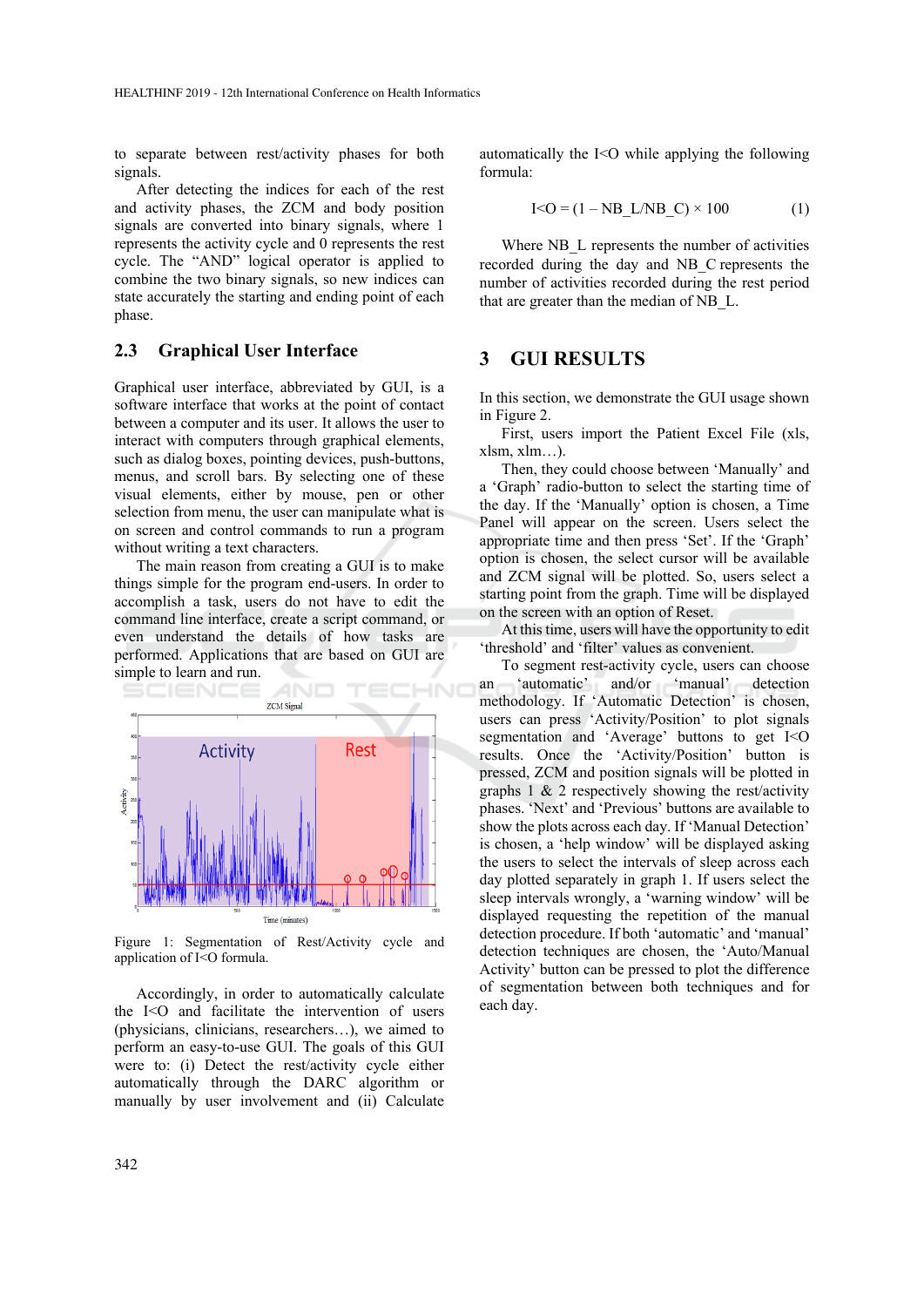to separate between rest/activity phases for both signals.

After detecting the indices for each of the rest and activity phases, the ZCM and body position signals are converted into binary signals, where 1 represents the activity cycle and 0 represents the rest cycle. The "AND" logical operator is applied to combine the two binary signals, so new indices can state accurately the starting and ending point of each phase.

### **2.3 Graphical User Interface**

Graphical user interface, abbreviated by GUI, is a software interface that works at the point of contact between a computer and its user. It allows the user to interact with computers through graphical elements, such as dialog boxes, pointing devices, push-buttons, menus, and scroll bars. By selecting one of these visual elements, either by mouse, pen or other selection from menu, the user can manipulate what is on screen and control commands to run a program without writing a text characters.

The main reason from creating a GUI is to make things simple for the program end-users. In order to accomplish a task, users do not have to edit the command line interface, create a script command, or even understand the details of how tasks are performed. Applications that are based on GUI are simple to learn and run.



Figure 1: Segmentation of Rest/Activity cycle and application of I<O formula.

Accordingly, in order to automatically calculate the  $I < O$  and facilitate the intervention of users (physicians, clinicians, researchers…), we aimed to perform an easy-to-use GUI. The goals of this GUI were to: (i) Detect the rest/activity cycle either automatically through the DARC algorithm or manually by user involvement and (ii) Calculate automatically the I<O while applying the following formula:

$$
I < O = (1 - NB_L/NB_C) \times 100
$$
 (1)

Where NB L represents the number of activities recorded during the day and NB\_C represents the number of activities recorded during the rest period that are greater than the median of NB\_L.

# **3 GUI RESULTS**

In this section, we demonstrate the GUI usage shown in Figure 2.

First, users import the Patient Excel File (xls, xlsm, xlm…).

Then, they could choose between 'Manually' and a 'Graph' radio-button to select the starting time of the day. If the 'Manually' option is chosen, a Time Panel will appear on the screen. Users select the appropriate time and then press 'Set'. If the 'Graph' option is chosen, the select cursor will be available and ZCM signal will be plotted. So, users select a starting point from the graph. Time will be displayed on the screen with an option of Reset.

At this time, users will have the opportunity to edit 'threshold' and 'filter' values as convenient.

To segment rest-activity cycle, users can choose an 'automatic' and/or 'manual' detection methodology. If 'Automatic Detection' is chosen, users can press 'Activity/Position' to plot signals segmentation and 'Average' buttons to get I<O results. Once the 'Activity/Position' button is pressed, ZCM and position signals will be plotted in graphs  $1 \& 2$  respectively showing the rest/activity phases. 'Next' and 'Previous' buttons are available to show the plots across each day. If 'Manual Detection' is chosen, a 'help window' will be displayed asking the users to select the intervals of sleep across each day plotted separately in graph 1. If users select the sleep intervals wrongly, a 'warning window' will be displayed requesting the repetition of the manual detection procedure. If both 'automatic' and 'manual' detection techniques are chosen, the 'Auto/Manual Activity' button can be pressed to plot the difference of segmentation between both techniques and for each day.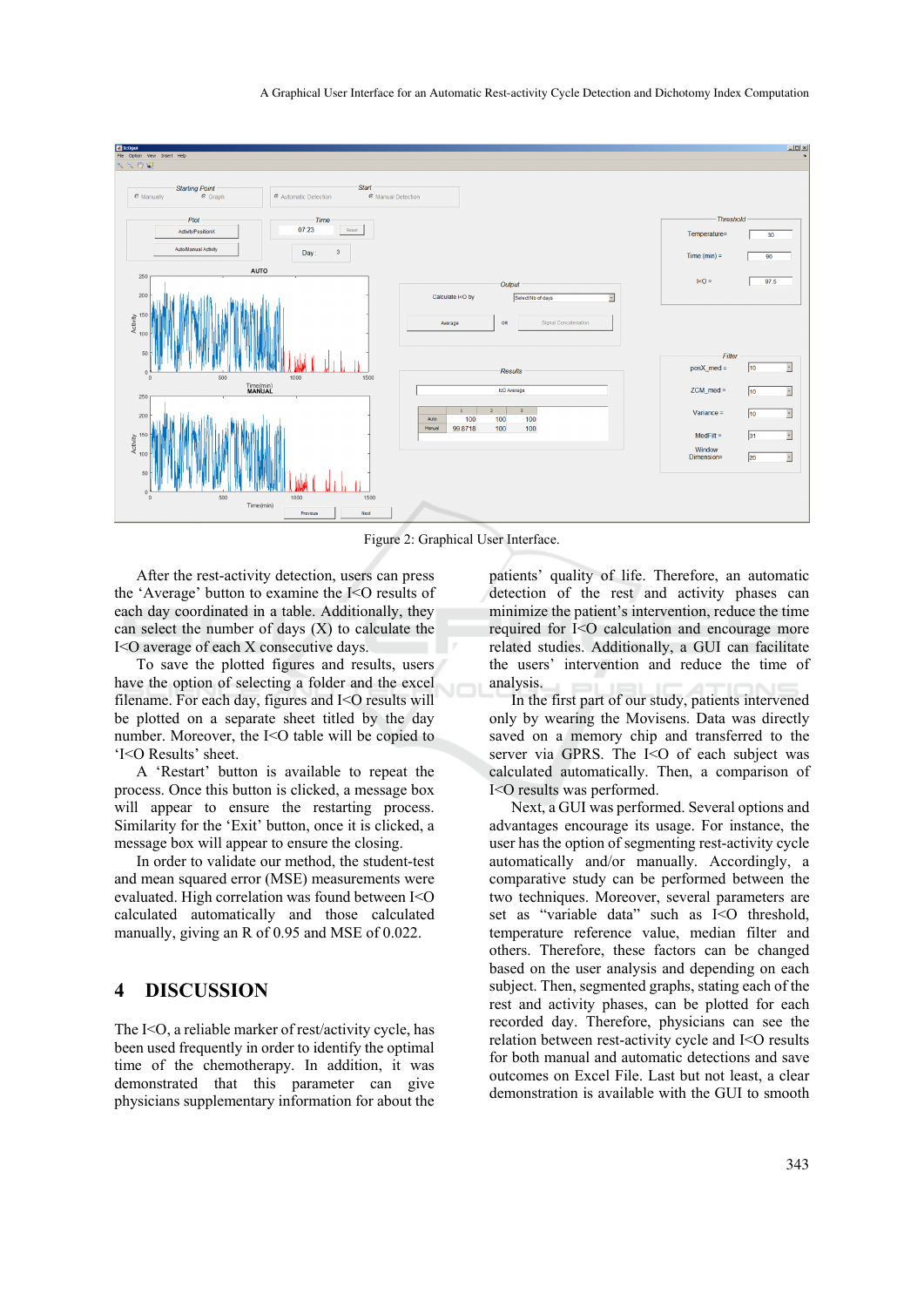

Figure 2: Graphical User Interface.

After the rest-activity detection, users can press the 'Average' button to examine the I<O results of each day coordinated in a table. Additionally, they can select the number of days  $(X)$  to calculate the I<O average of each X consecutive days.

To save the plotted figures and results, users have the option of selecting a folder and the excel filename. For each day, figures and  $I < O$  results will be plotted on a separate sheet titled by the day number. Moreover, the I<O table will be copied to 'I<O Results' sheet.

A 'Restart' button is available to repeat the process. Once this button is clicked, a message box will appear to ensure the restarting process. Similarity for the 'Exit' button, once it is clicked, a message box will appear to ensure the closing.

In order to validate our method, the student-test and mean squared error (MSE) measurements were evaluated. High correlation was found between I<O calculated automatically and those calculated manually, giving an R of 0.95 and MSE of 0.022.

### **4 DISCUSSION**

The I<O, a reliable marker of rest/activity cycle, has been used frequently in order to identify the optimal time of the chemotherapy. In addition, it was demonstrated that this parameter can give physicians supplementary information for about the

patients' quality of life. Therefore, an automatic detection of the rest and activity phases can minimize the patient's intervention, reduce the time required for I<O calculation and encourage more related studies. Additionally, a GUI can facilitate the users' intervention and reduce the time of analysis.

In the first part of our study, patients intervened only by wearing the Movisens. Data was directly saved on a memory chip and transferred to the server via GPRS. The I<O of each subject was calculated automatically. Then, a comparison of I<O results was performed.

Next, a GUI was performed. Several options and advantages encourage its usage. For instance, the user has the option of segmenting rest-activity cycle automatically and/or manually. Accordingly, a comparative study can be performed between the two techniques. Moreover, several parameters are set as "variable data" such as I<O threshold, temperature reference value, median filter and others. Therefore, these factors can be changed based on the user analysis and depending on each subject. Then, segmented graphs, stating each of the rest and activity phases, can be plotted for each recorded day. Therefore, physicians can see the relation between rest-activity cycle and I<O results for both manual and automatic detections and save outcomes on Excel File. Last but not least, a clear demonstration is available with the GUI to smooth